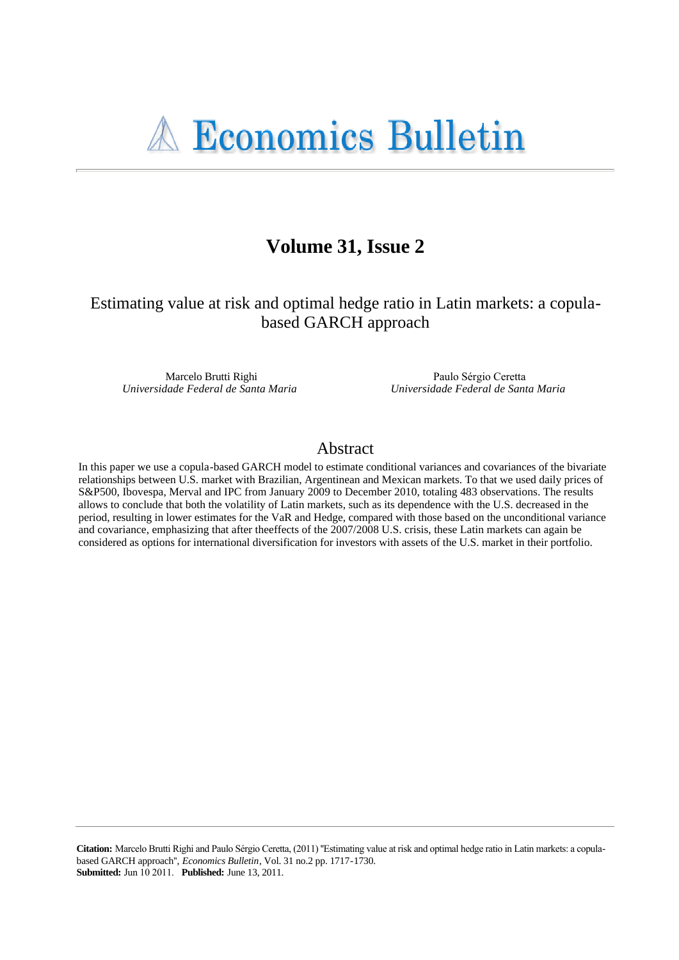# Volume 31, Issue 2

Estimating value at risk and optimal hedge ratio in Latin markets: a copulabased GARCH approach

Marcelo Brutti Righi Universidade Federal de Santa Maria

Paulo Sérgio Ceretta Universidade Federal de Santa Maria

## Abstract

In this paper we use a copula-based GARCH model to estimate conditional variances and covariances of the bivariate relationships between U.S. market with Brazilian, Argentinean and Mexican markets. To that we used daily prices of S&P500, Ibovespa, Merval and IPC from January 2009 to December 2010, totaling 483 observations. The results allows to conclude that both the volatility of Latin markets, such as its dependence with the U.S. decreased in the period, resulting in lower estimates for the VaR and Hedge, compared with those based on the unconditional variance and covariance, emphasizing that after theeffects of the 2007/2008 U.S. crisis, these Latin markets can again be considered as options for international diversification for investors with assets of the U.S. market in their portfolio.

Citation: Marcelo Brutti Righi and Paulo Sérgio Ceretta, (2011) "Estimating value at risk and optimal hedge ratio in Latin markets: a copulabased GARCH approach", *Economics Bulletin*, Vol. 31 no.2 pp. 1717-1730. **Submitted:** Jun 10 2011. Published: June 13, 2011.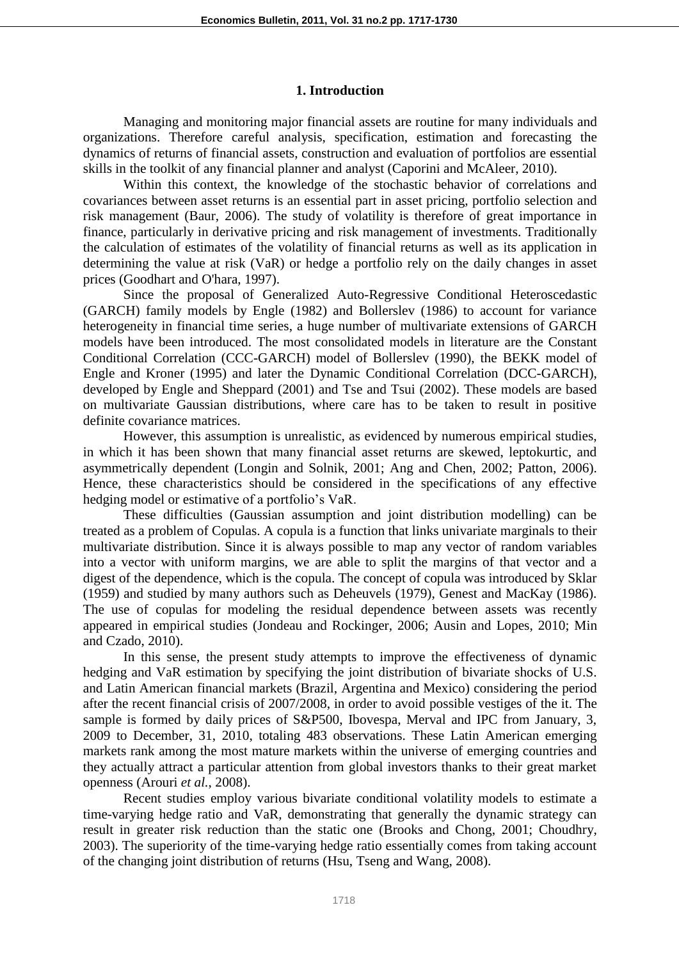#### **1. Introduction**

Managing and monitoring major financial assets are routine for many individuals and organizations. Therefore careful analysis, specification, estimation and forecasting the dynamics of returns of financial assets, construction and evaluation of portfolios are essential skills in the toolkit of any financial planner and analyst (Caporini and McAleer, 2010).

Within this context, the knowledge of the stochastic behavior of correlations and covariances between asset returns is an essential part in asset pricing, portfolio selection and risk management (Baur, 2006). The study of volatility is therefore of great importance in finance, particularly in derivative pricing and risk management of investments. Traditionally the calculation of estimates of the volatility of financial returns as well as its application in determining the value at risk (VaR) or hedge a portfolio rely on the daily changes in asset prices (Goodhart and O'hara, 1997).

Since the proposal of Generalized Auto-Regressive Conditional Heteroscedastic (GARCH) family models by Engle (1982) and Bollerslev (1986) to account for variance heterogeneity in financial time series, a huge number of multivariate extensions of GARCH models have been introduced. The most consolidated models in literature are the Constant Conditional Correlation (CCC-GARCH) model of Bollerslev (1990), the BEKK model of Engle and Kroner (1995) and later the Dynamic Conditional Correlation (DCC-GARCH), developed by Engle and Sheppard (2001) and Tse and Tsui (2002). These models are based on multivariate Gaussian distributions, where care has to be taken to result in positive definite covariance matrices.

However, this assumption is unrealistic, as evidenced by numerous empirical studies, in which it has been shown that many financial asset returns are skewed, leptokurtic, and asymmetrically dependent (Longin and Solnik, 2001; Ang and Chen, 2002; Patton, 2006). Hence, these characteristics should be considered in the specifications of any effective hedging model or estimative of a portfolio's VaR.

These difficulties (Gaussian assumption and joint distribution modelling) can be treated as a problem of Copulas. A copula is a function that links univariate marginals to their multivariate distribution. Since it is always possible to map any vector of random variables into a vector with uniform margins, we are able to split the margins of that vector and a digest of the dependence, which is the copula. The concept of copula was introduced by Sklar (1959) and studied by many authors such as Deheuvels (1979), Genest and MacKay (1986). The use of copulas for modeling the residual dependence between assets was recently appeared in empirical studies (Jondeau and Rockinger, 2006; Ausin and Lopes, 2010; Min and Czado, 2010).

In this sense, the present study attempts to improve the effectiveness of dynamic hedging and VaR estimation by specifying the joint distribution of bivariate shocks of U.S. and Latin American financial markets (Brazil, Argentina and Mexico) considering the period after the recent financial crisis of 2007/2008, in order to avoid possible vestiges of the it. The sample is formed by daily prices of S&P500, Ibovespa, Merval and IPC from January, 3, 2009 to December, 31, 2010, totaling 483 observations. These Latin American emerging markets rank among the most mature markets within the universe of emerging countries and they actually attract a particular attention from global investors thanks to their great market openness (Arouri *et al.*, 2008).

Recent studies employ various bivariate conditional volatility models to estimate a time-varying hedge ratio and VaR, demonstrating that generally the dynamic strategy can result in greater risk reduction than the static one (Brooks and Chong, 2001; Choudhry, 2003). The superiority of the time-varying hedge ratio essentially comes from taking account of the changing joint distribution of returns (Hsu, Tseng and Wang, 2008).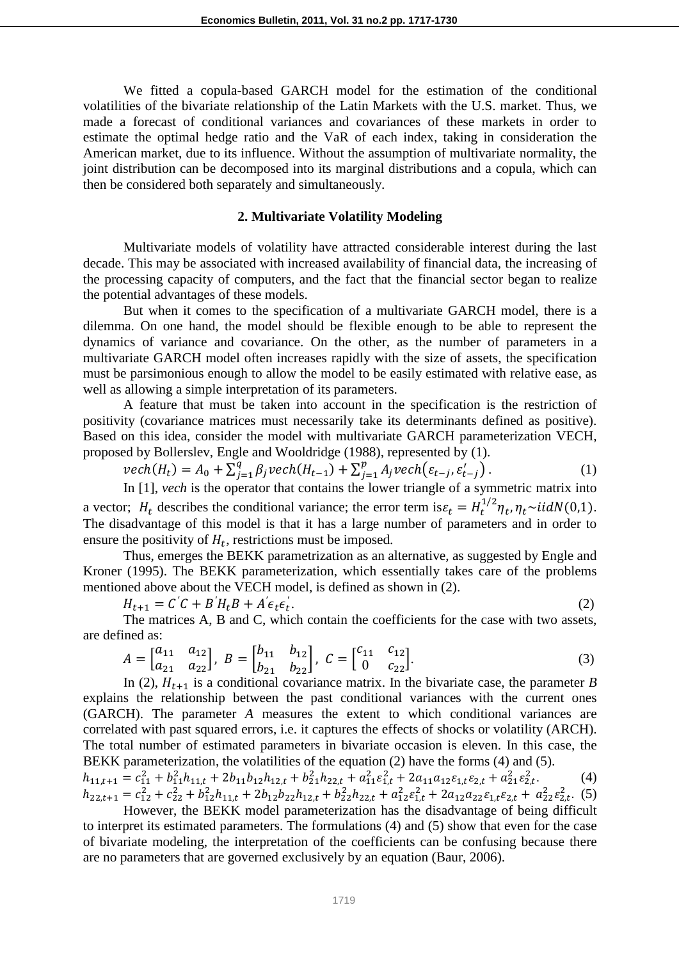We fitted a copula-based GARCH model for the estimation of the conditional volatilities of the bivariate relationship of the Latin Markets with the U.S. market. Thus, we made a forecast of conditional variances and covariances of these markets in order to estimate the optimal hedge ratio and the VaR of each index, taking in consideration the American market, due to its influence. Without the assumption of multivariate normality, the joint distribution can be decomposed into its marginal distributions and a copula, which can then be considered both separately and simultaneously.

#### **2. Multivariate Volatility Modeling**

Multivariate models of volatility have attracted considerable interest during the last decade. This may be associated with increased availability of financial data, the increasing of the processing capacity of computers, and the fact that the financial sector began to realize the potential advantages of these models.

But when it comes to the specification of a multivariate GARCH model, there is a dilemma. On one hand, the model should be flexible enough to be able to represent the dynamics of variance and covariance. On the other, as the number of parameters in a multivariate GARCH model often increases rapidly with the size of assets, the specification must be parsimonious enough to allow the model to be easily estimated with relative ease, as well as allowing a simple interpretation of its parameters.

A feature that must be taken into account in the specification is the restriction of positivity (covariance matrices must necessarily take its determinants defined as positive). Based on this idea, consider the model with multivariate GARCH parameterization VECH, proposed by Bollerslev, Engle and Wooldridge (1988), represented by (1).

$$
vech(H_t) = A_0 + \sum_{j=1}^{q} \beta_j vech(H_{t-1}) + \sum_{j=1}^{p} A_j vech(\varepsilon_{t-j}, \varepsilon'_{t-j}).
$$
\n(1)

In [1], *vech* is the operator that contains the lower triangle of a symmetric matrix into a vector;  $H_t$  describes the conditional variance; the error term is  $\varepsilon_t = H_t^{1/2} \eta_t$ ,  $\eta_t \sim \text{iidN}(0,1)$ . The disadvantage of this model is that it has a large number of parameters and in order to ensure the positivity of  $H_t$ , restrictions must be imposed.

Thus, emerges the BEKK parametrization as an alternative, as suggested by Engle and Kroner (1995). The BEKK parameterization, which essentially takes care of the problems mentioned above about the VECH model, is defined as shown in (2).

$$
H_{t+1} = C'C + B'H_tB + A'\epsilon_t\epsilon_t'.\tag{2}
$$

The matrices A, B and C, which contain the coefficients for the case with two assets, are defined as:

$$
A = \begin{bmatrix} a_{11} & a_{12} \\ a_{21} & a_{22} \end{bmatrix}, \ B = \begin{bmatrix} b_{11} & b_{12} \\ b_{21} & b_{22} \end{bmatrix}, \ C = \begin{bmatrix} c_{11} & c_{12} \\ 0 & c_{22} \end{bmatrix}.
$$
 (3)

In (2),  $H_{t+1}$  is a conditional covariance matrix. In the bivariate case, the parameter *B* explains the relationship between the past conditional variances with the current ones (GARCH). The parameter *A* measures the extent to which conditional variances are correlated with past squared errors, i.e. it captures the effects of shocks or volatility (ARCH). The total number of estimated parameters in bivariate occasion is eleven. In this case, the BEKK parameterization, the volatilities of the equation (2) have the forms (4) and (5).

 $h_{11,t+1} = c_{11}^2 + b_{11}^2 h_{11,t} + 2b_{11}b_{12}h_{12,t} + b_{21}^2 h_{22,t} + a_{11}^2 \varepsilon_{1,t}^2 + 2a_{11}a_{12} \varepsilon_{1,t} \varepsilon_{2,t} + a_{21}^2 \varepsilon_{2,t}^2$  $(4)$  $h_{22,t+1} = c_{12}^2 + c_{22}^2 + b_{12}^2 h_{11,t} + 2b_{12}b_{22}h_{12,t} + b_{22}^2 h_{22,t} + a_{12}^2 \varepsilon_{1,t}^2 + 2a_{12}a_{22}\varepsilon_{1,t}\varepsilon_{2,t} + a_{22}^2 \varepsilon_{2,t}^2$  (5)

However, the BEKK model parameterization has the disadvantage of being difficult to interpret its estimated parameters. The formulations (4) and (5) show that even for the case of bivariate modeling, the interpretation of the coefficients can be confusing because there are no parameters that are governed exclusively by an equation (Baur, 2006).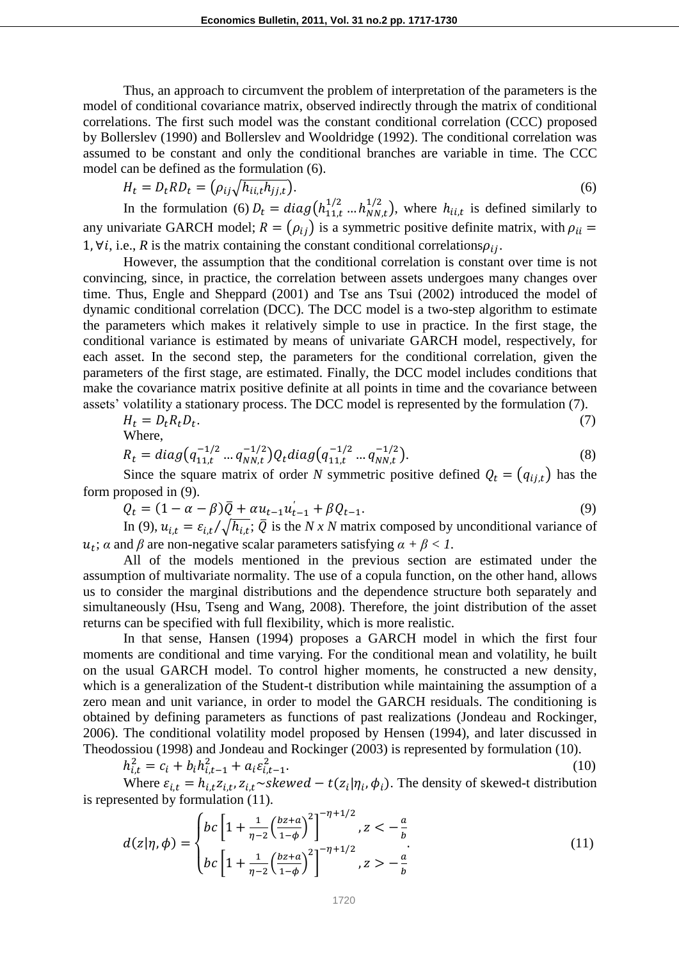Thus, an approach to circumvent the problem of interpretation of the parameters is the model of conditional covariance matrix, observed indirectly through the matrix of conditional correlations. The first such model was the constant conditional correlation (CCC) proposed by Bollerslev (1990) and Bollerslev and Wooldridge (1992). The conditional correlation was assumed to be constant and only the conditional branches are variable in time. The CCC model can be defined as the formulation (6).

$$
H_t = D_t R D_t = \left(\rho_{ij} \sqrt{h_{ii,t} h_{jj,t}}\right). \tag{6}
$$

In the formulation (6)  $D_t = diag(h_{11t}^{1/2} ... h_{NNt}^{1/2})$ , where  $h_{i,i,t}$  is defined similarly to any univariate GARCH model;  $R = (\rho_{ij})$  is a symmetric positive definite matrix, with  $\rho_{ii} =$ 1,  $\forall i$ , i.e., R is the matrix containing the constant conditional correlations  $\rho_{ii}$ .

However, the assumption that the conditional correlation is constant over time is not convincing, since, in practice, the correlation between assets undergoes many changes over time. Thus, Engle and Sheppard (2001) and Tse ans Tsui (2002) introduced the model of dynamic conditional correlation (DCC). The DCC model is a two-step algorithm to estimate the parameters which makes it relatively simple to use in practice. In the first stage, the conditional variance is estimated by means of univariate GARCH model, respectively, for each asset. In the second step, the parameters for the conditional correlation, given the parameters of the first stage, are estimated. Finally, the DCC model includes conditions that make the covariance matrix positive definite at all points in time and the covariance between assets' volatility a stationary process. The DCC model is represented by the formulation (7).

$$
H_t = D_t R_t D_t.
$$
\nWhere,

\n
$$
(7)
$$

$$
R_t = diag\left(q_{11,t}^{-1/2} \dots q_{NN,t}^{-1/2}\right) Q_t diag\left(q_{11,t}^{-1/2} \dots q_{NN,t}^{-1/2}\right). \tag{8}
$$

Since the square matrix of order *N* symmetric positive defined  $Q_t = (q_{i,i,t})$  has the form proposed in (9).

$$
Q_t = (1 - \alpha - \beta)\bar{Q} + \alpha u_{t-1}u_{t-1}' + \beta Q_{t-1}.
$$
\n(9)

In (9),  $u_{i,t} = \varepsilon_{i,t}/\sqrt{h_{i,t}}$ ;  $\overline{Q}$  is the *N x N* matrix composed by unconditional variance of  $u_t$ ;  $\alpha$  and  $\beta$  are non-negative scalar parameters satisfying  $\alpha + \beta < 1$ .

All of the models mentioned in the previous section are estimated under the assumption of multivariate normality. The use of a copula function, on the other hand, allows us to consider the marginal distributions and the dependence structure both separately and simultaneously (Hsu, Tseng and Wang, 2008). Therefore, the joint distribution of the asset returns can be specified with full flexibility, which is more realistic.

In that sense, Hansen (1994) proposes a GARCH model in which the first four moments are conditional and time varying. For the conditional mean and volatility, he built on the usual GARCH model. To control higher moments, he constructed a new density, which is a generalization of the Student-t distribution while maintaining the assumption of a zero mean and unit variance, in order to model the GARCH residuals. The conditioning is obtained by defining parameters as functions of past realizations (Jondeau and Rockinger, 2006). The conditional volatility model proposed by Hensen (1994), and later discussed in Theodossiou (1998) and Jondeau and Rockinger (2003) is represented by formulation (10).

$$
h_{i,t}^2 = c_i + b_i h_{i,t-1}^2 + a_i \varepsilon_{i,t-1}^2.
$$
 (10)

Where  $\varepsilon_{i,t} = h_{i,t} z_{i,t}$ ,  $z_{i,t}$ ,  $\sim$ skewed –  $t(z_i | \eta_i, \phi_i)$ . The density of skewed-t distribution is represented by formulation (11).

$$
d(z|\eta,\phi) = \begin{cases} bc \left[ 1 + \frac{1}{\eta - 2} \left( \frac{bz + a}{1 - \phi} \right)^2 \right]^{-\eta + 1/2}, & z < -\frac{a}{b} \\ bc \left[ 1 + \frac{1}{\eta - 2} \left( \frac{bz + a}{1 - \phi} \right)^2 \right]^{-\eta + 1/2}, & z > -\frac{a}{b} \end{cases}
$$
(11)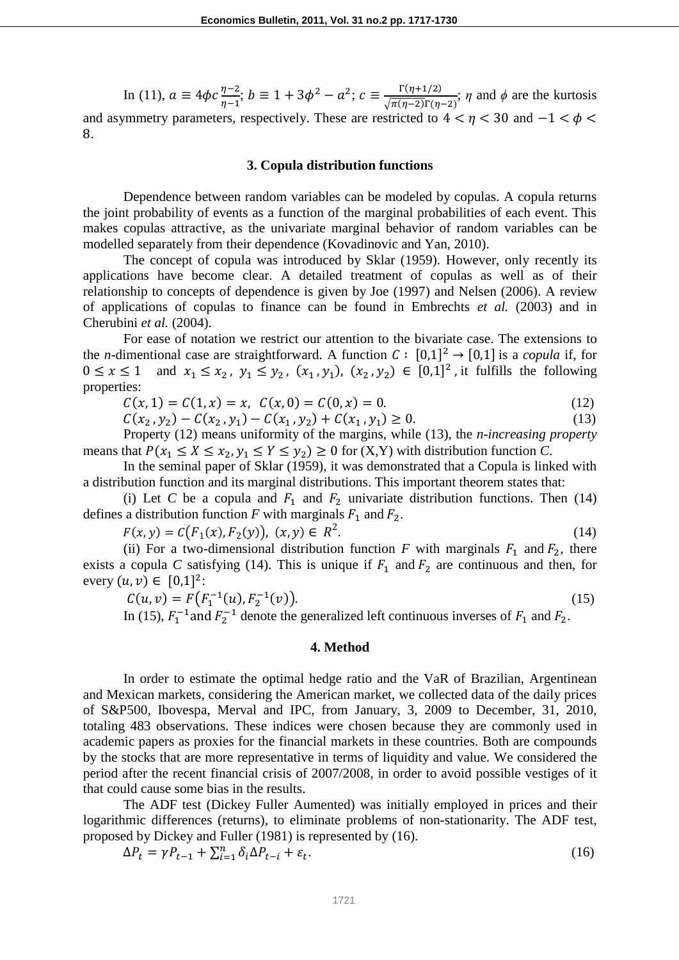In (11),  $a \equiv 4\phi c \frac{\eta - 2}{\eta - 1}$ ;  $b \equiv 1 + 3\phi^2 - a^2$ ;  $c \equiv \frac{\Gamma(\eta + 1/2)}{\sqrt{\pi(\eta - 2)}\Gamma(\eta)}$  $\frac{1}{\sqrt{\pi(\eta-2)}\Gamma(\eta-2)}$ ;  $\eta$  and  $\phi$  are the kurtosis and asymmetry parameters, respectively. These are restricted to  $4 < \eta < 30$  and  $-1 < \phi <$ 8.

#### **3. Copula distribution functions**

Dependence between random variables can be modeled by copulas. A copula returns the joint probability of events as a function of the marginal probabilities of each event. This makes copulas attractive, as the univariate marginal behavior of random variables can be modelled separately from their dependence (Kovadinovic and Yan, 2010).

The concept of copula was introduced by Sklar (1959). However, only recently its applications have become clear. A detailed treatment of copulas as well as of their relationship to concepts of dependence is given by Joe (1997) and Nelsen (2006). A review of applications of copulas to finance can be found in Embrechts *et al.* (2003) and in Cherubini *et al.* (2004).

For ease of notation we restrict our attention to the bivariate case. The extensions to the *n*-dimentional case are straightforward. A function  $C : [0,1]^2 \rightarrow [0,1]$  is a *copula* if, for  $0 \le x \le 1$  and  $x_1 \le x_2$ ,  $y_1 \le y_2$ ,  $(x_1, y_1)$ ,  $(x_2, y_2) \in [0,1]^2$ , it fulfills the following properties:

 $C(x, 1) = C(1, x) = x$ ,  $C(x, 0) = C(0, x) = 0$ . (12)

 $C(x_2, y_2) - C(x_2, y_1) - C(x_1, y_2) + C(x_1, y_1) \ge 0.$  (13)

Property (12) means uniformity of the margins, while (13), the *n-increasing property*  means that  $P(x_1 \le X \le x_2, y_1 \le Y \le y_2) \ge 0$  for  $(X, Y)$  with distribution function *C*.

In the seminal paper of Sklar (1959), it was demonstrated that a Copula is linked with a distribution function and its marginal distributions. This important theorem states that:

(i) Let *C* be a copula and  $F_1$  and  $F_2$  univariate distribution functions. Then (14) defines a distribution function  $F$  with marginals  $F_1$  and  $F_2$ .

$$
F(x, y) = C(F_1(x), F_2(y)), (x, y) \in R^2.
$$
 (14)

(ii) For a two-dimensional distribution function *F* with marginals  $F_1$  and  $F_2$ , there exists a copula *C* satisfying (14). This is unique if  $F_1$  and  $F_2$  are continuous and then, for every  $(u, v) \in [0, 1]^2$ :

$$
C(u, v) = F\big(F_1^{-1}(u), F_2^{-1}(v)\big). \tag{15}
$$

In (15),  $F_1^{-1}$  and  $F_2^{-1}$  denote the generalized left continuous inverses of  $F_1$  and  $F_2$ .

#### **4. Method**

In order to estimate the optimal hedge ratio and the VaR of Brazilian, Argentinean and Mexican markets, considering the American market, we collected data of the daily prices of S&P500, Ibovespa, Merval and IPC, from January, 3, 2009 to December, 31, 2010, totaling 483 observations. These indices were chosen because they are commonly used in academic papers as proxies for the financial markets in these countries. Both are compounds by the stocks that are more representative in terms of liquidity and value. We considered the period after the recent financial crisis of 2007/2008, in order to avoid possible vestiges of it that could cause some bias in the results.

The ADF test (Dickey Fuller Aumented) was initially employed in prices and their logarithmic differences (returns), to eliminate problems of non-stationarity. The ADF test, proposed by Dickey and Fuller (1981) is represented by (16).

$$
\Delta P_t = \gamma P_{t-1} + \sum_{i=1}^n \delta_i \Delta P_{t-i} + \varepsilon_t.
$$
\n(16)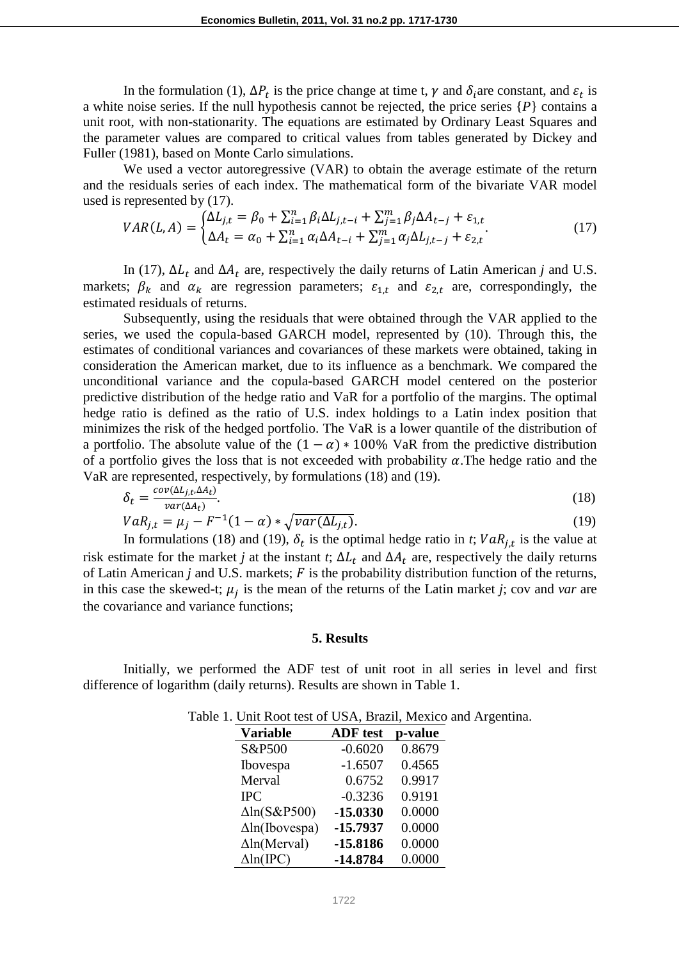In the formulation (1),  $\Delta P_t$  is the price change at time t,  $\gamma$  and  $\delta_i$  are constant, and  $\varepsilon_t$  is a white noise series. If the null hypothesis cannot be rejected, the price series {*P*} contains a unit root, with non-stationarity. The equations are estimated by Ordinary Least Squares and the parameter values are compared to critical values from tables generated by Dickey and Fuller (1981), based on Monte Carlo simulations.

We used a vector autoregressive (VAR) to obtain the average estimate of the return and the residuals series of each index. The mathematical form of the bivariate VAR model used is represented by (17).

$$
VAR(L, A) = \begin{cases} \Delta L_{j,t} = \beta_0 + \sum_{i=1}^n \beta_i \Delta L_{j,t-i} + \sum_{j=1}^m \beta_j \Delta A_{t-j} + \varepsilon_{1,t} \\ \Delta A_t = \alpha_0 + \sum_{i=1}^n \alpha_i \Delta A_{t-i} + \sum_{j=1}^m \alpha_j \Delta L_{j,t-j} + \varepsilon_{2,t} \end{cases}
$$
(17)

In (17),  $\Delta L_t$  and  $\Delta A_t$  are, respectively the daily returns of Latin American *j* and U.S. markets;  $\beta_k$  and  $\alpha_k$  are regression parameters;  $\varepsilon_{1,t}$  and  $\varepsilon_{2,t}$  are, correspondingly, the estimated residuals of returns.

Subsequently, using the residuals that were obtained through the VAR applied to the series, we used the copula-based GARCH model, represented by (10). Through this, the estimates of conditional variances and covariances of these markets were obtained, taking in consideration the American market, due to its influence as a benchmark. We compared the unconditional variance and the copula-based GARCH model centered on the posterior predictive distribution of the hedge ratio and VaR for a portfolio of the margins. The optimal hedge ratio is defined as the ratio of U.S. index holdings to a Latin index position that minimizes the risk of the hedged portfolio. The VaR is a lower quantile of the distribution of a portfolio. The absolute value of the  $(1 - \alpha) * 100\%$  VaR from the predictive distribution of a portfolio gives the loss that is not exceeded with probability  $\alpha$ . The hedge ratio and the VaR are represented, respectively, by formulations (18) and (19).

$$
\delta_t = \frac{cov(\Delta L_{j,t}, \Delta A_t)}{var(\Delta A_t)}.
$$
\n
$$
VaR_{j,t} = \mu_j - F^{-1}(1-\alpha) * \sqrt{var(\Delta L_{j,t})}.
$$
\n(19)

In formulations (18) and (19),  $\delta_t$  is the optimal hedge ratio in *t*;  $VaR_{i,t}$  is the value at risk estimate for the market *j* at the instant *t*;  $\Delta L_t$  and  $\Delta A_t$  are, respectively the daily returns of Latin American  $j$  and U.S. markets;  $F$  is the probability distribution function of the returns, in this case the skewed-t;  $\mu_i$  is the mean of the returns of the Latin market *j*; cov and *var* are the covariance and variance functions;

#### **5. Results**

Initially, we performed the ADF test of unit root in all series in level and first difference of logarithm (daily returns). Results are shown in Table 1.

| e 1. Onit Koot test of Obl's, Drught, Intexted une |                 |         |  |
|----------------------------------------------------|-----------------|---------|--|
| <b>Variable</b>                                    | <b>ADF</b> test | p-value |  |
| S&P500                                             | $-0.6020$       | 0.8679  |  |
| Ibovespa                                           | $-1.6507$       | 0.4565  |  |
| Merval                                             | 0.6752          | 0.9917  |  |
| <b>IPC</b>                                         | $-0.3236$       | 0.9191  |  |
| $\Delta$ ln(S&P500)                                | $-15.0330$      | 0.0000  |  |
| $\Delta$ ln(Ibovespa)                              | $-15.7937$      | 0.0000  |  |
| $\Delta$ ln(Merval)                                | $-15.8186$      | 0.0000  |  |
| $\Delta$ ln(IPC)                                   | $-14.8784$      | 0.0000  |  |
|                                                    |                 |         |  |

Table 1. Unit Root test of USA, Brazil, Mexico and Argentina.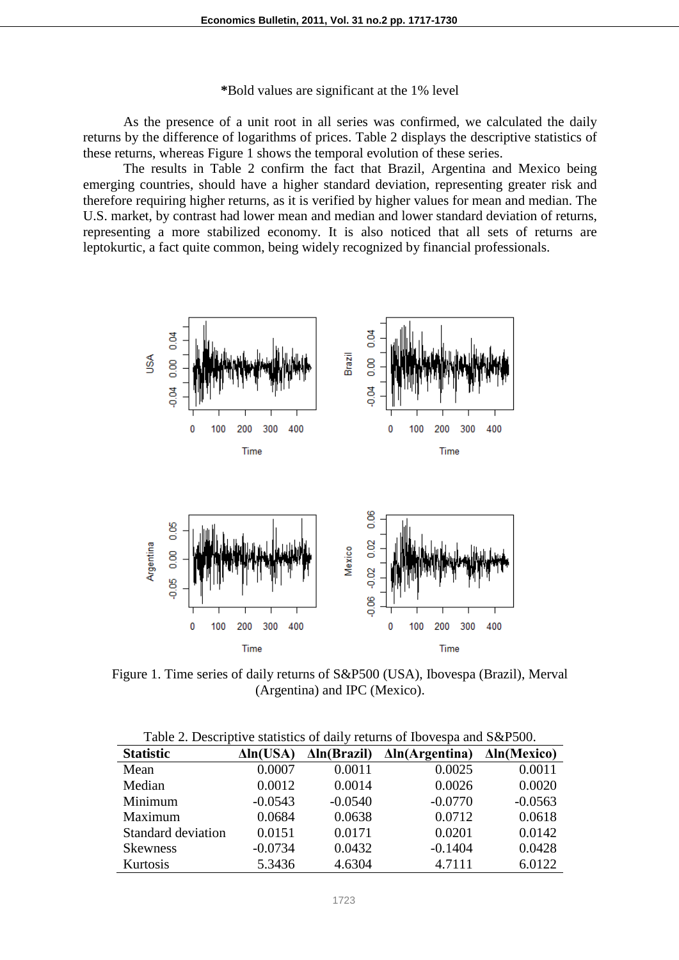**\***Bold values are significant at the 1% level

As the presence of a unit root in all series was confirmed, we calculated the daily returns by the difference of logarithms of prices. Table 2 displays the descriptive statistics of these returns, whereas Figure 1 shows the temporal evolution of these series.

The results in Table 2 confirm the fact that Brazil, Argentina and Mexico being emerging countries, should have a higher standard deviation, representing greater risk and therefore requiring higher returns, as it is verified by higher values for mean and median. The U.S. market, by contrast had lower mean and median and lower standard deviation of returns, representing a more stabilized economy. It is also noticed that all sets of returns are leptokurtic, a fact quite common, being widely recognized by financial professionals.



Figure 1. Time series of daily returns of S&P500 (USA), Ibovespa (Brazil), Merval (Argentina) and IPC (Mexico).

| Table 2. Descriptive statistics of daily returns of Ibovespa and S&P500. |                  |                     |                        |                     |  |  |  |  |  |
|--------------------------------------------------------------------------|------------------|---------------------|------------------------|---------------------|--|--|--|--|--|
| <b>Statistic</b>                                                         | $\Delta ln(USA)$ | $\Delta$ ln(Brazil) | $\Delta$ ln(Argentina) | $\Delta$ ln(Mexico) |  |  |  |  |  |
| Mean                                                                     | 0.0007           | 0.0011              | 0.0025                 | 0.0011              |  |  |  |  |  |
| Median                                                                   | 0.0012           | 0.0014              | 0.0026                 | 0.0020              |  |  |  |  |  |
| Minimum                                                                  | $-0.0543$        | $-0.0540$           | $-0.0770$              | $-0.0563$           |  |  |  |  |  |
| Maximum                                                                  | 0.0684           | 0.0638              | 0.0712                 | 0.0618              |  |  |  |  |  |
| Standard deviation                                                       | 0.0151           | 0.0171              | 0.0201                 | 0.0142              |  |  |  |  |  |
| <b>Skewness</b>                                                          | $-0.0734$        | 0.0432              | $-0.1404$              | 0.0428              |  |  |  |  |  |
| Kurtosis                                                                 | 5.3436           | 4.6304              | 4.7111                 | 6.0122              |  |  |  |  |  |

Table 2. Descriptive statistics of daily returns of Ibovespa and S&P500.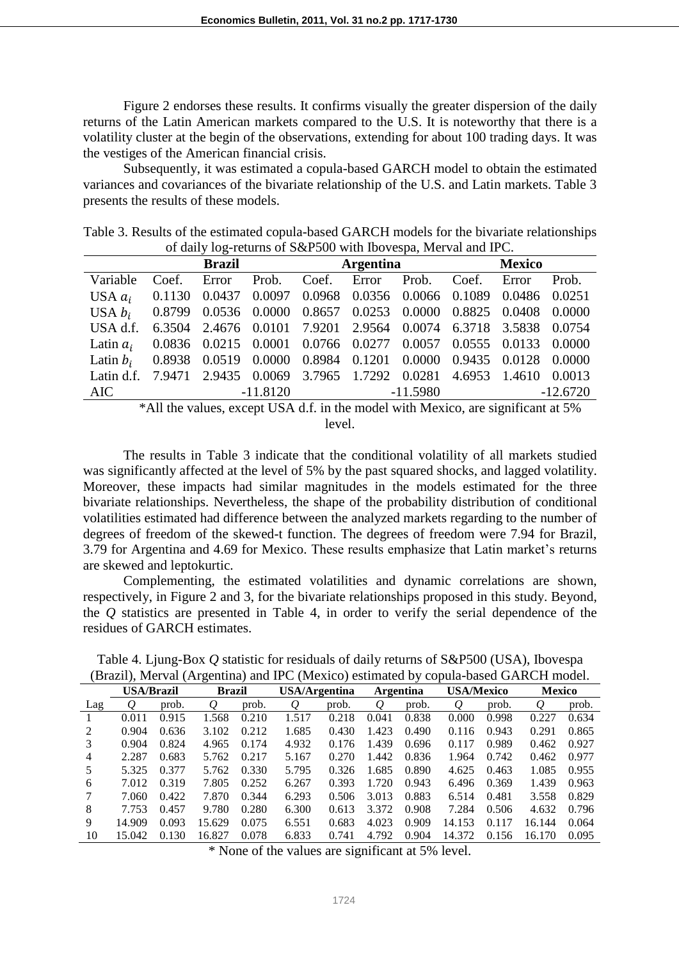Figure 2 endorses these results. It confirms visually the greater dispersion of the daily returns of the Latin American markets compared to the U.S. It is noteworthy that there is a volatility cluster at the begin of the observations, extending for about 100 trading days. It was the vestiges of the American financial crisis.

Subsequently, it was estimated a copula-based GARCH model to obtain the estimated variances and covariances of the bivariate relationship of the U.S. and Latin markets. Table 3 presents the results of these models.

| Table 3. Results of the estimated copula-based GARCH models for the bivariate relationships |
|---------------------------------------------------------------------------------------------|
| of daily log-returns of S&P500 with Ibovespa, Merval and IPC.                               |

|                                                                            |  |  | <b>Brazil</b> |                          | <b>Argentina</b>                                               |  | <b>Mexico</b> |  |            |  |
|----------------------------------------------------------------------------|--|--|---------------|--------------------------|----------------------------------------------------------------|--|---------------|--|------------|--|
| Variable                                                                   |  |  |               |                          | Coef. Error Prob. Coef. Error Prob. Coef. Error Prob.          |  |               |  |            |  |
| USA $a_i$ 0.1130 0.0437 0.0097 0.0968 0.0356 0.0066 0.1089 0.0486 0.0251   |  |  |               |                          |                                                                |  |               |  |            |  |
| USA $b_i$ 0.8799 0.0536 0.0000 0.8657 0.0253 0.0000 0.8825 0.0408 0.0000   |  |  |               |                          |                                                                |  |               |  |            |  |
| USA d.f.                                                                   |  |  |               |                          | 6.3504 2.4676 0.0101 7.9201 2.9564 0.0074 6.3718 3.5838 0.0754 |  |               |  |            |  |
| Latin $a_i$ 0.0836 0.0215 0.0001 0.0766 0.0277 0.0057 0.0555 0.0133 0.0000 |  |  |               |                          |                                                                |  |               |  |            |  |
| Latin $b_i$ 0.8938 0.0519 0.0000 0.8984 0.1201 0.0000 0.9435 0.0128 0.0000 |  |  |               |                          |                                                                |  |               |  |            |  |
| Latin d.f. 7.9471 2.9435 0.0069 3.7965 1.7292 0.0281 4.6953 1.4610 0.0013  |  |  |               |                          |                                                                |  |               |  |            |  |
| AIC                                                                        |  |  |               | $-11.8120$<br>$-11.5980$ |                                                                |  |               |  | $-12.6720$ |  |

\*All the values, except USA d.f. in the model with Mexico, are significant at 5% level.

The results in Table 3 indicate that the conditional volatility of all markets studied was significantly affected at the level of 5% by the past squared shocks, and lagged volatility. Moreover, these impacts had similar magnitudes in the models estimated for the three bivariate relationships. Nevertheless, the shape of the probability distribution of conditional volatilities estimated had difference between the analyzed markets regarding to the number of degrees of freedom of the skewed-t function. The degrees of freedom were 7.94 for Brazil, 3.79 for Argentina and 4.69 for Mexico. These results emphasize that Latin market's returns are skewed and leptokurtic.

Complementing, the estimated volatilities and dynamic correlations are shown, respectively, in Figure 2 and 3, for the bivariate relationships proposed in this study. Beyond, the *Q* statistics are presented in Table 4, in order to verify the serial dependence of the residues of GARCH estimates.

Table 4. Ljung-Box *Q* statistic for residuals of daily returns of S&P500 (USA), Ibovespa (Brazil), Merval (Argentina) and IPC (Mexico) estimated by copula-based GARCH model.

| $\overline{\phantom{a}}$ |                   |       |        |               |       |                      |       |                  |           |                   |        |               |  |
|--------------------------|-------------------|-------|--------|---------------|-------|----------------------|-------|------------------|-----------|-------------------|--------|---------------|--|
|                          | <b>USA/Brazil</b> |       |        | <b>Brazil</b> |       | <b>USA/Argentina</b> |       | <b>Argentina</b> |           | <b>USA/Mexico</b> |        | <b>Mexico</b> |  |
| Lag                      |                   | prob. | Q      | prob.         | Q     | prob.                | Q     | prob.            | $\varrho$ | prob.             | Q      | prob.         |  |
|                          | 0.011             | 0.915 | 1.568  | 0.210         | 1.517 | 0.218                | 0.041 | 0.838            | 0.000     | 0.998             | 0.227  | 0.634         |  |
|                          | 0.904             | 0.636 | 3.102  | 0.212         | 1.685 | 0.430                | 1.423 | 0.490            | 0.116     | 0.943             | 0.291  | 0.865         |  |
| 3                        | 0.904             | 0.824 | 4.965  | 0.174         | 4.932 | 0.176                | 1.439 | 0.696            | 0.117     | 0.989             | 0.462  | 0.927         |  |
| 4                        | 2.287             | 0.683 | 5.762  | 0.217         | 5.167 | 0.270                | 1.442 | 0.836            | 1.964     | 0.742             | 0.462  | 0.977         |  |
| 5                        | 5.325             | 0.377 | 5.762  | 0.330         | 5.795 | 0.326                | 1.685 | 0.890            | 4.625     | 0.463             | 1.085  | 0.955         |  |
| 6                        | 7.012             | 0.319 | 7.805  | 0.252         | 6.267 | 0.393                | 1.720 | 0.943            | 6.496     | 0.369             | 1.439  | 0.963         |  |
|                          | 7.060             | 0.422 | 7.870  | 0.344         | 6.293 | 0.506                | 3.013 | 0.883            | 6.514     | 0.481             | 3.558  | 0.829         |  |
| 8                        | 7.753             | 0.457 | 9.780  | 0.280         | 6.300 | 0.613                | 3.372 | 0.908            | 7.284     | 0.506             | 4.632  | 0.796         |  |
| 9                        | 14.909            | 0.093 | 15.629 | 0.075         | 6.551 | 0.683                | 4.023 | 0.909            | 14.153    | 0.117             | 16.144 | 0.064         |  |
| 10                       | 15.042            | 0.130 | 16.827 | 0.078         | 6.833 | 0.741                | 4.792 | 0.904            | 14.372    | 0.156             | 16.170 | 0.095         |  |

\* None of the values are significant at 5% level.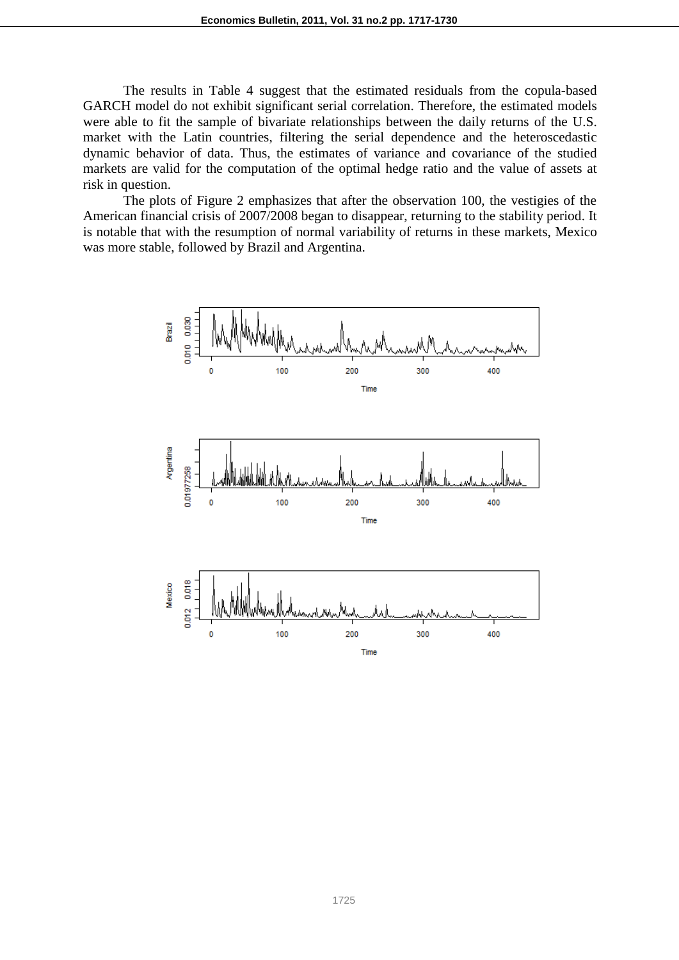The results in Table 4 suggest that the estimated residuals from the copula-based GARCH model do not exhibit significant serial correlation. Therefore, the estimated models were able to fit the sample of bivariate relationships between the daily returns of the U.S. market with the Latin countries, filtering the serial dependence and the heteroscedastic dynamic behavior of data. Thus, the estimates of variance and covariance of the studied markets are valid for the computation of the optimal hedge ratio and the value of assets at risk in question.

The plots of Figure 2 emphasizes that after the observation 100, the vestigies of the American financial crisis of 2007/2008 began to disappear, returning to the stability period. It is notable that with the resumption of normal variability of returns in these markets, Mexico was more stable, followed by Brazil and Argentina.

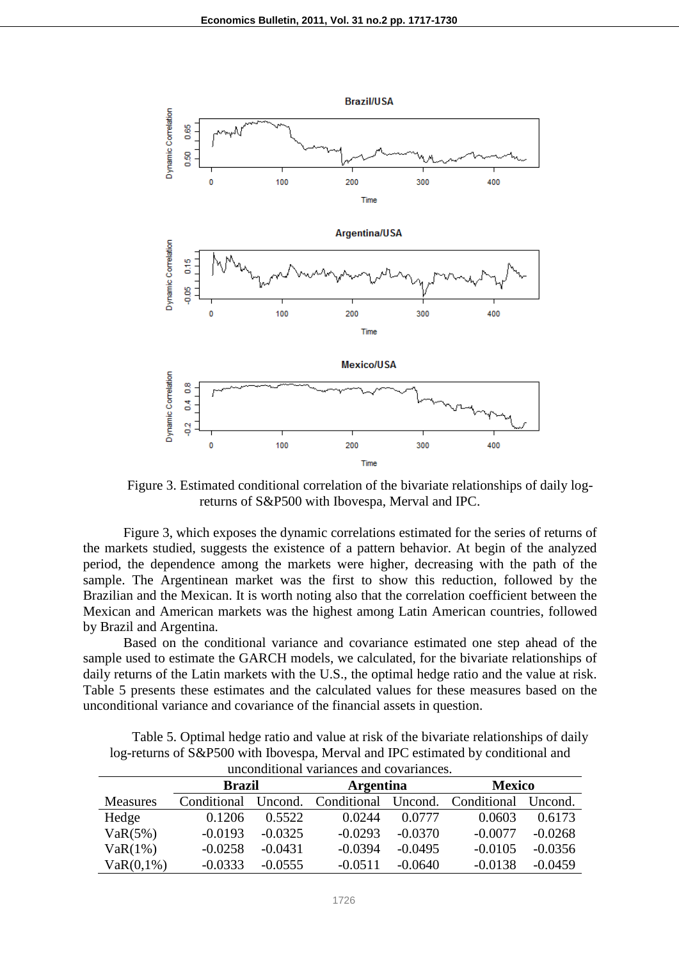

Figure 3. Estimated conditional correlation of the bivariate relationships of daily logreturns of S&P500 with Ibovespa, Merval and IPC.

Figure 3, which exposes the dynamic correlations estimated for the series of returns of the markets studied, suggests the existence of a pattern behavior. At begin of the analyzed period, the dependence among the markets were higher, decreasing with the path of the sample. The Argentinean market was the first to show this reduction, followed by the Brazilian and the Mexican. It is worth noting also that the correlation coefficient between the Mexican and American markets was the highest among Latin American countries, followed by Brazil and Argentina.

Based on the conditional variance and covariance estimated one step ahead of the sample used to estimate the GARCH models, we calculated, for the bivariate relationships of daily returns of the Latin markets with the U.S., the optimal hedge ratio and the value at risk. Table 5 presents these estimates and the calculated values for these measures based on the unconditional variance and covariance of the financial assets in question.

| Table 5. Optimal hedge ratio and value at risk of the bivariate relationships of daily |
|----------------------------------------------------------------------------------------|
| log-returns of S&P500 with Ibovespa, Merval and IPC estimated by conditional and       |
| unconditional variances and covariances.                                               |

| unconuncional variances and covariances. |                        |           |                  |                     |               |           |  |  |  |  |  |
|------------------------------------------|------------------------|-----------|------------------|---------------------|---------------|-----------|--|--|--|--|--|
|                                          | <b>Brazil</b>          |           | <b>Argentina</b> |                     | <b>Mexico</b> |           |  |  |  |  |  |
| <b>Measures</b>                          | Conditional<br>Uncond. |           |                  | Conditional Uncond. |               | Uncond.   |  |  |  |  |  |
| Hedge                                    | 0.1206                 | 0.5522    | 0.0244           | 0.0777              | 0.0603        | 0.6173    |  |  |  |  |  |
| VaR(5%)                                  | $-0.0193$              | $-0.0325$ | $-0.0293$        | $-0.0370$           | $-0.0077$     | $-0.0268$ |  |  |  |  |  |
| $VaR(1\%)$                               | $-0.0258$              | $-0.0431$ | $-0.0394$        | $-0.0495$           | $-0.0105$     | $-0.0356$ |  |  |  |  |  |
| VaR(0,1%)                                | $-0.0333$              | $-0.0555$ | $-0.0511$        | $-0.0640$           | $-0.0138$     | $-0.0459$ |  |  |  |  |  |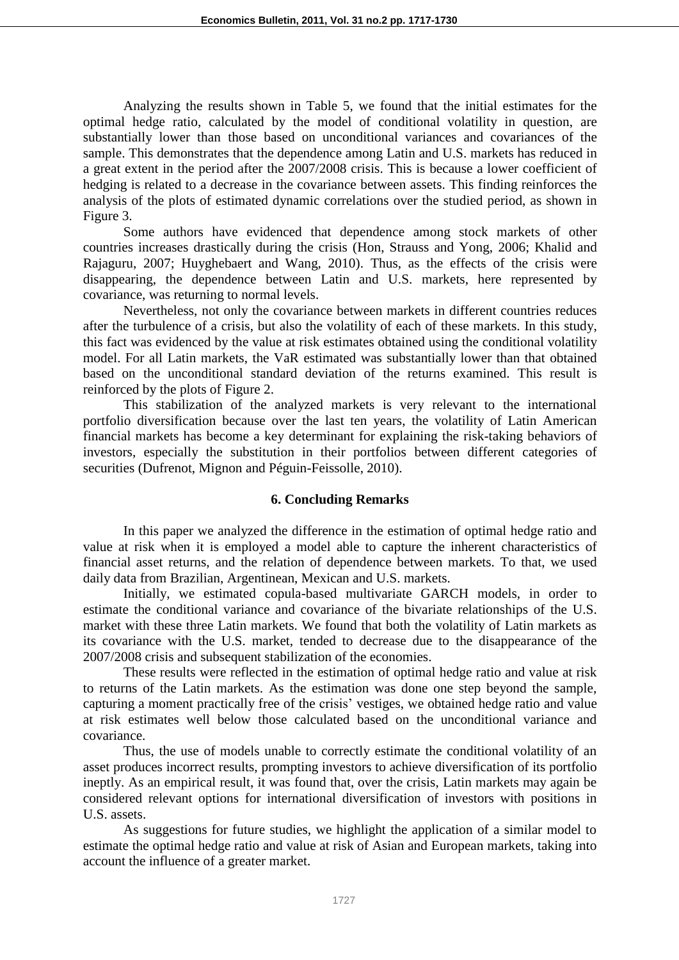Analyzing the results shown in Table 5, we found that the initial estimates for the optimal hedge ratio, calculated by the model of conditional volatility in question, are substantially lower than those based on unconditional variances and covariances of the sample. This demonstrates that the dependence among Latin and U.S. markets has reduced in a great extent in the period after the 2007/2008 crisis. This is because a lower coefficient of hedging is related to a decrease in the covariance between assets. This finding reinforces the analysis of the plots of estimated dynamic correlations over the studied period, as shown in Figure 3.

Some authors have evidenced that dependence among stock markets of other countries increases drastically during the crisis (Hon, Strauss and Yong, 2006; Khalid and Rajaguru, 2007; Huyghebaert and Wang, 2010). Thus, as the effects of the crisis were disappearing, the dependence between Latin and U.S. markets, here represented by covariance, was returning to normal levels.

Nevertheless, not only the covariance between markets in different countries reduces after the turbulence of a crisis, but also the volatility of each of these markets. In this study, this fact was evidenced by the value at risk estimates obtained using the conditional volatility model. For all Latin markets, the VaR estimated was substantially lower than that obtained based on the unconditional standard deviation of the returns examined. This result is reinforced by the plots of Figure 2.

This stabilization of the analyzed markets is very relevant to the international portfolio diversification because over the last ten years, the volatility of Latin American financial markets has become a key determinant for explaining the risk-taking behaviors of investors, especially the substitution in their portfolios between different categories of securities (Dufrenot, Mignon and Péguin-Feissolle, 2010).

### **6. Concluding Remarks**

In this paper we analyzed the difference in the estimation of optimal hedge ratio and value at risk when it is employed a model able to capture the inherent characteristics of financial asset returns, and the relation of dependence between markets. To that, we used daily data from Brazilian, Argentinean, Mexican and U.S. markets.

Initially, we estimated copula-based multivariate GARCH models, in order to estimate the conditional variance and covariance of the bivariate relationships of the U.S. market with these three Latin markets. We found that both the volatility of Latin markets as its covariance with the U.S. market, tended to decrease due to the disappearance of the 2007/2008 crisis and subsequent stabilization of the economies.

These results were reflected in the estimation of optimal hedge ratio and value at risk to returns of the Latin markets. As the estimation was done one step beyond the sample, capturing a moment practically free of the crisis' vestiges, we obtained hedge ratio and value at risk estimates well below those calculated based on the unconditional variance and covariance.

Thus, the use of models unable to correctly estimate the conditional volatility of an asset produces incorrect results, prompting investors to achieve diversification of its portfolio ineptly. As an empirical result, it was found that, over the crisis, Latin markets may again be considered relevant options for international diversification of investors with positions in U.S. assets.

As suggestions for future studies, we highlight the application of a similar model to estimate the optimal hedge ratio and value at risk of Asian and European markets, taking into account the influence of a greater market.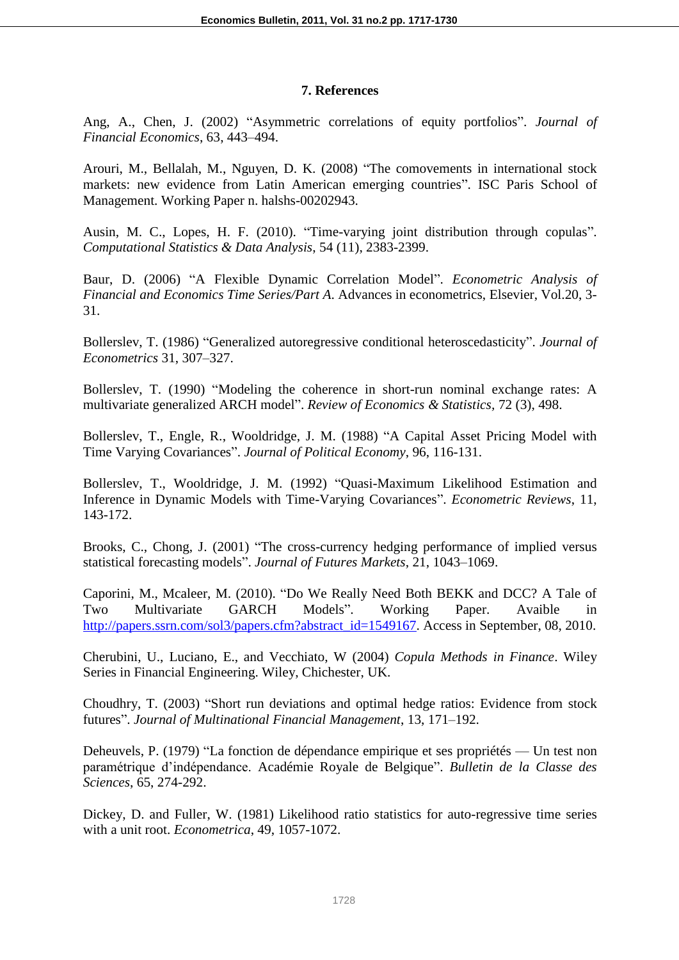## **7. References**

Ang, A., Chen, J. (2002) "Asymmetric correlations of equity portfolios". *Journal of Financial Economics*, 63, 443–494.

Arouri, M., Bellalah, M., Nguyen, D. K. (2008) "The comovements in international stock markets: new evidence from Latin American emerging countries". ISC Paris School of Management. Working Paper n. halshs-00202943.

Ausin, M. C., Lopes, H. F. (2010). "Time-varying joint distribution through copulas". *Computational Statistics & Data Analysis*, 54 (11), 2383-2399.

Baur, D. (2006) "A Flexible Dynamic Correlation Model". *Econometric Analysis of Financial and Economics Time Series/Part A*. Advances in econometrics, Elsevier, Vol.20, 3- 31.

Bollerslev, T. (1986) "Generalized autoregressive conditional heteroscedasticity". *Journal of Econometrics* 31, 307–327.

Bollerslev, T. (1990) "Modeling the coherence in short-run nominal exchange rates: A multivariate generalized ARCH model". *Review of Economics & Statistics*, 72 (3), 498.

Bollerslev, T., Engle, R., Wooldridge, J. M. (1988) "A Capital Asset Pricing Model with Time Varying Covariances". *Journal of Political Economy*, 96, 116-131.

Bollerslev, T., Wooldridge, J. M. (1992) "Quasi-Maximum Likelihood Estimation and Inference in Dynamic Models with Time-Varying Covariances". *Econometric Reviews*, 11, 143-172.

Brooks, C., Chong, J. (2001) "The cross-currency hedging performance of implied versus statistical forecasting models". *Journal of Futures Markets*, 21, 1043–1069.

Caporini, M., Mcaleer, M. (2010). "Do We Really Need Both BEKK and DCC? A Tale of Two Multivariate GARCH Models". Working Paper. Avaible in http://papers.ssrn.com/sol3/papers.cfm?abstract\_id=1549167. Access in September, 08, 2010.

Cherubini, U., Luciano, E., and Vecchiato, W (2004) *Copula Methods in Finance*. Wiley Series in Financial Engineering. Wiley, Chichester, UK.

Choudhry, T. (2003) "Short run deviations and optimal hedge ratios: Evidence from stock futures‖. *Journal of Multinational Financial Management*, 13, 171–192.

Deheuvels, P. (1979) "La fonction de dépendance empirique et ses propriétés — Un test non paramétrique d'indépendance. Académie Royale de Belgique". *Bulletin de la Classe des Sciences*, 65, 274-292.

Dickey, D. and Fuller, W. (1981) Likelihood ratio statistics for auto-regressive time series with a unit root. *Econometrica*, 49, 1057-1072.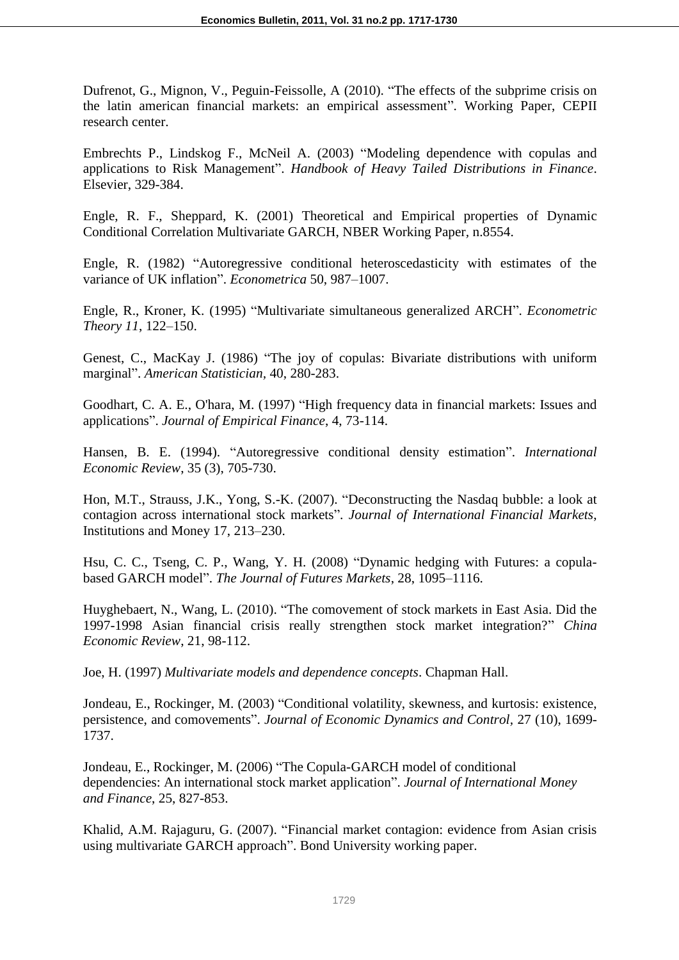Dufrenot, G., Mignon, V., Peguin-Feissolle, A (2010). "The effects of the subprime crisis on the latin american financial markets: an empirical assessment". Working Paper, CEPII research center.

Embrechts P., Lindskog F., McNeil A. (2003) "Modeling dependence with copulas and applications to Risk Management". *Handbook of Heavy Tailed Distributions in Finance*. Elsevier, 329-384.

Engle, R. F., Sheppard, K. (2001) Theoretical and Empirical properties of Dynamic Conditional Correlation Multivariate GARCH, NBER Working Paper*,* n.8554.

Engle, R. (1982) "Autoregressive conditional heteroscedasticity with estimates of the variance of UK inflation". *Econometrica* 50, 987-1007.

Engle, R., Kroner, K. (1995) 
"Multivariate simultaneous generalized ARCH". *Econometric Theory 11*, 122–150.

Genest, C., MacKay J. (1986) "The joy of copulas: Bivariate distributions with uniform marginal‖. *American Statistician,* 40, 280-283.

Goodhart, C. A. E., O'hara, M. (1997) "High frequency data in financial markets: Issues and applications‖. *Journal of Empirical Finance*, 4, 73-114.

Hansen, B. E. (1994). "Autoregressive conditional density estimation". *International Economic Review*, 35 (3), 705-730.

Hon, M.T., Strauss, J.K., Yong, S.-K. (2007). "Deconstructing the Nasdaq bubble: a look at contagion across international stock markets‖. *Journal of International Financial Markets*, Institutions and Money 17, 213–230.

Hsu, C. C., Tseng, C. P., Wang, Y. H. (2008) "Dynamic hedging with Futures: a copulabased GARCH model". *The Journal of Futures Markets*, 28, 1095–1116.

Huyghebaert, N., Wang, L. (2010). "The comovement of stock markets in East Asia. Did the 1997-1998 Asian financial crisis really strengthen stock market integration?‖ *China Economic Review*, 21, 98-112.

Joe, H. (1997) *Multivariate models and dependence concepts*. Chapman Hall.

Jondeau, E., Rockinger, M. (2003) "Conditional volatility, skewness, and kurtosis: existence, persistence, and comovements". *Journal of Economic Dynamics and Control*, 27 (10), 1699-1737.

Jondeau, E., Rockinger, M. (2006) "The Copula-GARCH model of conditional dependencies: An international stock market application". *Journal of International Money and Finance*, 25, 827-853.

Khalid, A.M. Rajaguru, G. (2007). "Financial market contagion: evidence from Asian crisis using multivariate GARCH approach". Bond University working paper.